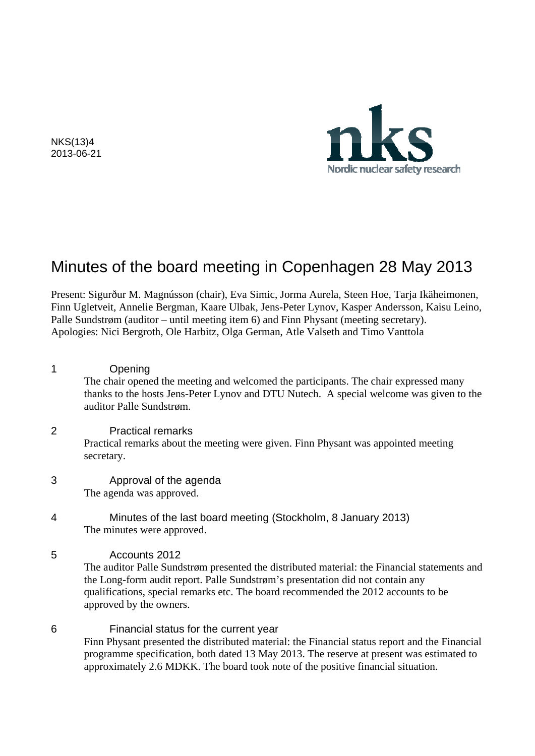Nordic nuclear safety research

NKS(13)4 2013-06-21

# Minutes of the board meeting in Copenhagen 28 May 2013

Present: Sigurður M. Magnússon (chair), Eva Simic, Jorma Aurela, Steen Hoe, Tarja Ikäheimonen, Finn Ugletveit, Annelie Bergman, Kaare Ulbak, Jens-Peter Lynov, Kasper Andersson, Kaisu Leino, Palle Sundstrøm (auditor – until meeting item 6) and Finn Physant (meeting secretary). Apologies: Nici Bergroth, Ole Harbitz, Olga German, Atle Valseth and Timo Vanttola

| 1 | Opening<br>The chair opened the meeting and welcomed the participants. The chair expressed many<br>thanks to the hosts Jens-Peter Lynov and DTU Nutech. A special welcome was given to the<br>auditor Palle Sundstrøm. |
|---|------------------------------------------------------------------------------------------------------------------------------------------------------------------------------------------------------------------------|
| 2 | <b>Practical remarks</b><br>Practical remarks about the meeting were given. Finn Physant was appointed meeting<br>secretary.                                                                                           |
| 3 | Approval of the agenda<br>The agenda was approved.                                                                                                                                                                     |
| 4 | Minutes of the last board meeting (Stockholm, 8 January 2013)                                                                                                                                                          |

- The minutes were approved.
- 5 Accounts 2012

The auditor Palle Sundstrøm presented the distributed material: the Financial statements and the Long-form audit report. Palle Sundstrøm's presentation did not contain any qualifications, special remarks etc. The board recommended the 2012 accounts to be approved by the owners.

6 Financial status for the current year Finn Physant presented the distributed material: the Financial status report and the Financial programme specification, both dated 13 May 2013. The reserve at present was estimated to approximately 2.6 MDKK. The board took note of the positive financial situation.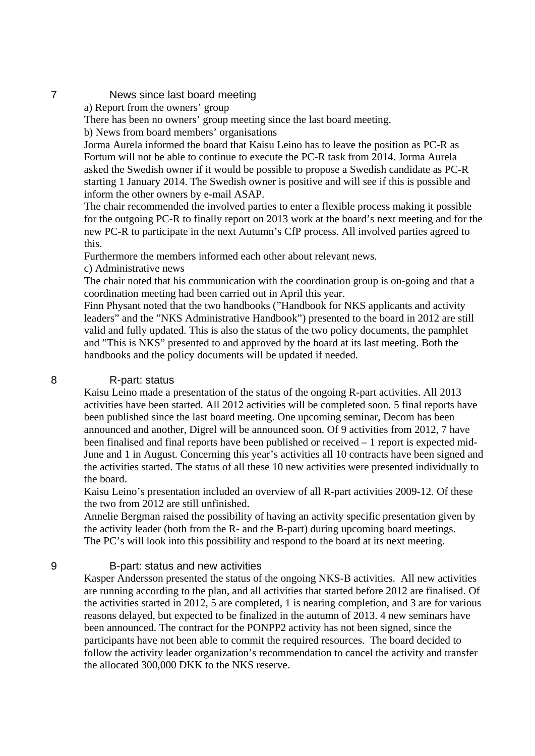## 7 News since last board meeting

a) Report from the owners' group

There has been no owners' group meeting since the last board meeting.

b) News from board members' organisations

Jorma Aurela informed the board that Kaisu Leino has to leave the position as PC-R as Fortum will not be able to continue to execute the PC-R task from 2014. Jorma Aurela asked the Swedish owner if it would be possible to propose a Swedish candidate as PC-R starting 1 January 2014. The Swedish owner is positive and will see if this is possible and inform the other owners by e-mail ASAP.

The chair recommended the involved parties to enter a flexible process making it possible for the outgoing PC-R to finally report on 2013 work at the board's next meeting and for the new PC-R to participate in the next Autumn's CfP process. All involved parties agreed to this.

Furthermore the members informed each other about relevant news.

c) Administrative news

The chair noted that his communication with the coordination group is on-going and that a coordination meeting had been carried out in April this year.

Finn Physant noted that the two handbooks ("Handbook for NKS applicants and activity leaders" and the "NKS Administrative Handbook") presented to the board in 2012 are still valid and fully updated. This is also the status of the two policy documents, the pamphlet and "This is NKS" presented to and approved by the board at its last meeting. Both the handbooks and the policy documents will be updated if needed.

## 8 R-part: status

Kaisu Leino made a presentation of the status of the ongoing R-part activities. All 2013 activities have been started. All 2012 activities will be completed soon. 5 final reports have been published since the last board meeting. One upcoming seminar, Decom has been announced and another, Digrel will be announced soon. Of 9 activities from 2012, 7 have been finalised and final reports have been published or received – 1 report is expected mid-June and 1 in August. Concerning this year's activities all 10 contracts have been signed and the activities started. The status of all these 10 new activities were presented individually to the board.

Kaisu Leino's presentation included an overview of all R-part activities 2009-12. Of these the two from 2012 are still unfinished.

Annelie Bergman raised the possibility of having an activity specific presentation given by the activity leader (both from the R- and the B-part) during upcoming board meetings. The PC's will look into this possibility and respond to the board at its next meeting.

## 9 B-part: status and new activities

Kasper Andersson presented the status of the ongoing NKS-B activities. All new activities are running according to the plan, and all activities that started before 2012 are finalised. Of the activities started in 2012, 5 are completed, 1 is nearing completion, and 3 are for various reasons delayed, but expected to be finalized in the autumn of 2013. 4 new seminars have been announced. The contract for the PONPP2 activity has not been signed, since the participants have not been able to commit the required resources. The board decided to follow the activity leader organization's recommendation to cancel the activity and transfer the allocated 300,000 DKK to the NKS reserve.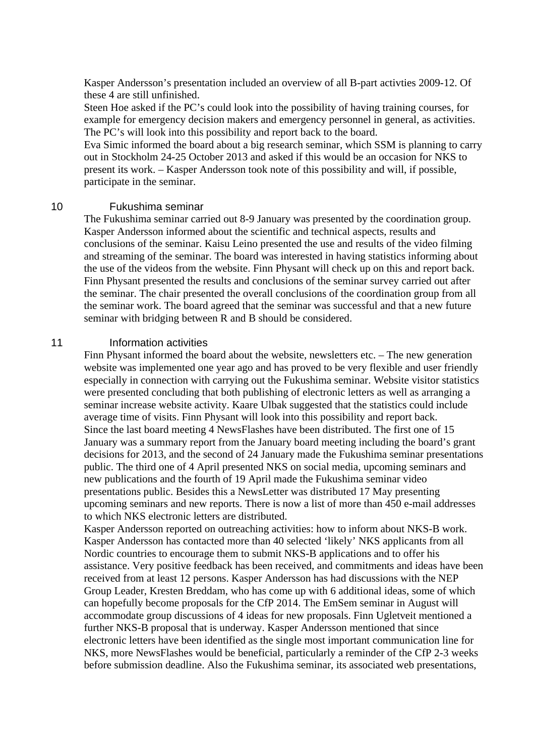Kasper Andersson's presentation included an overview of all B-part activties 2009-12. Of these 4 are still unfinished.

Steen Hoe asked if the PC's could look into the possibility of having training courses, for example for emergency decision makers and emergency personnel in general, as activities. The PC's will look into this possibility and report back to the board.

Eva Simic informed the board about a big research seminar, which SSM is planning to carry out in Stockholm 24-25 October 2013 and asked if this would be an occasion for NKS to present its work. – Kasper Andersson took note of this possibility and will, if possible, participate in the seminar.

#### 10 Fukushima seminar

The Fukushima seminar carried out 8-9 January was presented by the coordination group. Kasper Andersson informed about the scientific and technical aspects, results and conclusions of the seminar. Kaisu Leino presented the use and results of the video filming and streaming of the seminar. The board was interested in having statistics informing about the use of the videos from the website. Finn Physant will check up on this and report back. Finn Physant presented the results and conclusions of the seminar survey carried out after the seminar. The chair presented the overall conclusions of the coordination group from all the seminar work. The board agreed that the seminar was successful and that a new future seminar with bridging between R and B should be considered.

#### 11 **Information activities**

Finn Physant informed the board about the website, newsletters etc. – The new generation website was implemented one year ago and has proved to be very flexible and user friendly especially in connection with carrying out the Fukushima seminar. Website visitor statistics were presented concluding that both publishing of electronic letters as well as arranging a seminar increase website activity. Kaare Ulbak suggested that the statistics could include average time of visits. Finn Physant will look into this possibility and report back. Since the last board meeting 4 NewsFlashes have been distributed. The first one of 15 January was a summary report from the January board meeting including the board's grant decisions for 2013, and the second of 24 January made the Fukushima seminar presentations public. The third one of 4 April presented NKS on social media, upcoming seminars and new publications and the fourth of 19 April made the Fukushima seminar video presentations public. Besides this a NewsLetter was distributed 17 May presenting upcoming seminars and new reports. There is now a list of more than 450 e-mail addresses to which NKS electronic letters are distributed.

Kasper Andersson reported on outreaching activities: how to inform about NKS-B work. Kasper Andersson has contacted more than 40 selected 'likely' NKS applicants from all Nordic countries to encourage them to submit NKS-B applications and to offer his assistance. Very positive feedback has been received, and commitments and ideas have been received from at least 12 persons. Kasper Andersson has had discussions with the NEP Group Leader, Kresten Breddam, who has come up with 6 additional ideas, some of which can hopefully become proposals for the CfP 2014. The EmSem seminar in August will accommodate group discussions of 4 ideas for new proposals. Finn Ugletveit mentioned a further NKS-B proposal that is underway. Kasper Andersson mentioned that since electronic letters have been identified as the single most important communication line for NKS, more NewsFlashes would be beneficial, particularly a reminder of the CfP 2-3 weeks before submission deadline. Also the Fukushima seminar, its associated web presentations,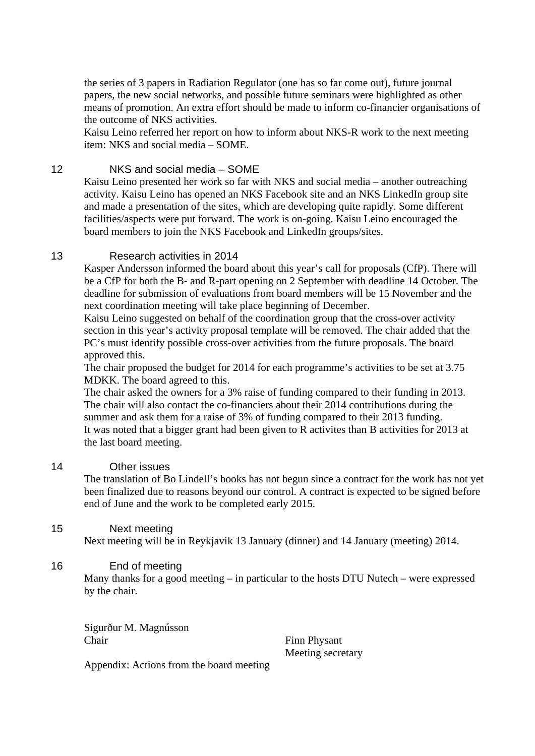the series of 3 papers in Radiation Regulator (one has so far come out), future journal papers, the new social networks, and possible future seminars were highlighted as other means of promotion. An extra effort should be made to inform co-financier organisations of the outcome of NKS activities.

Kaisu Leino referred her report on how to inform about NKS-R work to the next meeting item: NKS and social media – SOME.

# 12 NKS and social media – SOME

Kaisu Leino presented her work so far with NKS and social media – another outreaching activity. Kaisu Leino has opened an NKS Facebook site and an NKS LinkedIn group site and made a presentation of the sites, which are developing quite rapidly. Some different facilities/aspects were put forward. The work is on-going. Kaisu Leino encouraged the board members to join the NKS Facebook and LinkedIn groups/sites.

# 13 Research activities in 2014

Kasper Andersson informed the board about this year's call for proposals (CfP). There will be a CfP for both the B- and R-part opening on 2 September with deadline 14 October. The deadline for submission of evaluations from board members will be 15 November and the next coordination meeting will take place beginning of December.

Kaisu Leino suggested on behalf of the coordination group that the cross-over activity section in this year's activity proposal template will be removed. The chair added that the PC's must identify possible cross-over activities from the future proposals. The board approved this.

The chair proposed the budget for 2014 for each programme's activities to be set at 3.75 MDKK. The board agreed to this.

The chair asked the owners for a 3% raise of funding compared to their funding in 2013. The chair will also contact the co-financiers about their 2014 contributions during the summer and ask them for a raise of 3% of funding compared to their 2013 funding. It was noted that a bigger grant had been given to R activites than B activities for 2013 at the last board meeting.

## 14 Other issues

The translation of Bo Lindell's books has not begun since a contract for the work has not yet been finalized due to reasons beyond our control. A contract is expected to be signed before end of June and the work to be completed early 2015.

# 15 Next meeting

Next meeting will be in Reykjavik 13 January (dinner) and 14 January (meeting) 2014.

# 16 End of meeting

Many thanks for a good meeting – in particular to the hosts DTU Nutech – were expressed by the chair.

Sigurður M. Magnússon Chair Finn Physant

Meeting secretary

Appendix: Actions from the board meeting